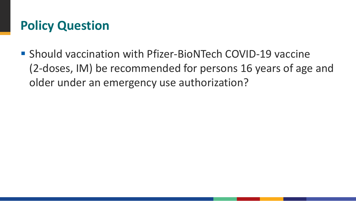# **Policy Question**

■ Should vaccination with Pfizer-BioNTech COVID-19 vaccine (2-doses, IM) be recommended for persons 16 years of age and older under an emergency use authorization?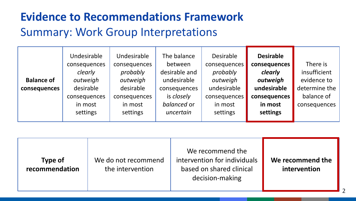### **Evidence to Recommendations Framework** Summary: Work Group Interpretations

|                   | Undesirable<br>consequences | Undesirable<br>consequences | The balance<br>between | <b>Desirable</b><br>consequences | <b>Desirable</b><br>consequences | There is      |
|-------------------|-----------------------------|-----------------------------|------------------------|----------------------------------|----------------------------------|---------------|
|                   | clearly                     | probably                    | desirable and          | probably                         | clearly                          | insufficient  |
| <b>Balance of</b> | outweigh                    | outweigh                    | undesirable            | outweigh                         | outweigh                         | evidence to   |
| consequences      | desirable                   | desirable                   | consequences           | undesirable                      | undesirable                      | determine the |
|                   | consequences                | consequences                | is closely             | consequences                     | consequences                     | balance of    |
|                   | in most                     | in most                     | balanced or            | in most                          | in most                          | consequences  |
|                   | settings                    | settings                    | uncertain              | settings                         | settings                         |               |

| <b>Type of</b><br>recommendation | We do not recommend<br>the intervention | We recommend the<br>intervention for individuals<br>based on shared clinical<br>decision-making | We recommend the<br>intervention |
|----------------------------------|-----------------------------------------|-------------------------------------------------------------------------------------------------|----------------------------------|
|----------------------------------|-----------------------------------------|-------------------------------------------------------------------------------------------------|----------------------------------|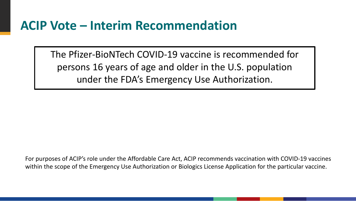### **ACIP Vote – Interim Recommendation**

The Pfizer-BioNTech COVID-19 vaccine is recommended for persons 16 years of age and older in the U.S. population under the FDA's Emergency Use Authorization.

For purposes of ACIP's role under the Affordable Care Act, ACIP recommends vaccination with COVID-19 vaccines within the scope of the Emergency Use Authorization or Biologics License Application for the particular vaccine.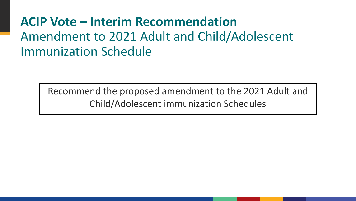## **ACIP Vote – Interim Recommendation** Amendment to 2021 Adult and Child/Adolescent Immunization Schedule

Recommend the proposed amendment to the 2021 Adult and Child/Adolescent immunization Schedules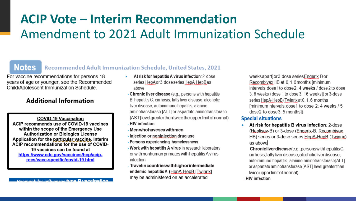# **ACIP Vote – Interim Recommendation** Amendment to 2021 Adult Immunization Schedule

### **Notes**

### **Recommended Adult Immunization Schedule, United States, 2021**

For vaccine recommendations for persons 18 years of age or younger, see the Recommended Child/Adolescent Immunization Schedule.

### **Additional Information**

**COVID-19 Vaccination** ACIP recommends use of COVID-19 vaccines within the scope of the Emergency Use **Authorization or Biologics License** Application for the particular vaccine. Interim ACIP recommendations for the use of COVID-19 vaccines can be found at https://www.cdc.gov/vaccines/hcp/aciprecs/vacc-specific/covid-19.html

manhilus influenzes tuno. R vaccination

- Atrisk for hepatitis A virus infection: 2-dose series HepAor 3-dose series HepA-HepBas above
- Chronic liver disease (e.g., persons with hepatitis B, hepatitis C, cirrhosis, fatty liver disease, alcoholic liver disease, autoimmune hepatitis, alanine aminotransferase [ALT] or aspartate aminotransferase [AST] level greater than twice the upper limit of normal) - HIV infection
- Menwhohavesex withmen
- Injection or noniniection drug use
- Persons experiencing homelessness
- Work with hepatitis A virus in research laboratory or with nonhuman primates with hepatitis A virus infection
- Travelin countries with high or intermediate endemic hepatitis A (HepA-HepB [Twinrix] may be administered on an accelerated

weeksapartor3-dose seriesEngerix-Bor RecombivaxHB at 0.1.6 months [minimum] intervals: dose 1 to dose 2: 4 weeks / dose 2 to dose 3: 8 weeks / dose 1 to dose 3: 16 weeks]) or 3-dose series HepA-HepB (Twinrix at 0, 1, 6 months Iminimum intervals: dose1 to dose 2: 4 weeks / 5 dose2 to dose3: 5 months])

#### **Special situations**

At risk for hepatitis B virus infection: 2-dose (Heplisay-B) or 3-dose (Engerix-B, Recombivax HB) series or 3-dose series HepA-HepB (Twinrix) as above

Chronic liverdisease (e.g., persons with hepatitis C, cirrhosis, fatty liver disease, alcoholic liver disease, autoimmune hepatitis, alanine aminotransferase [ALT] or aspartate aminotransferase [AST] level greater than twice upper limit of normal)

- HIV infection